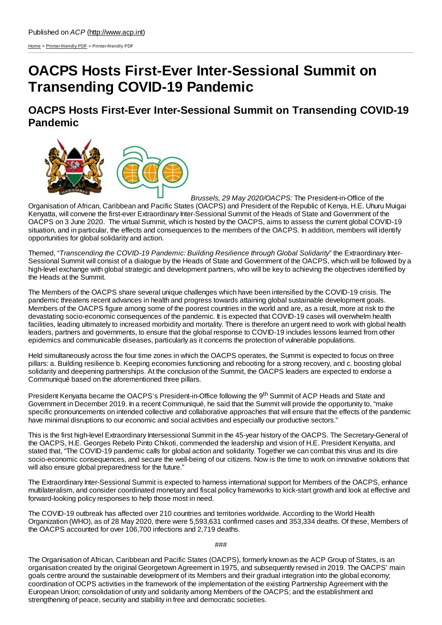[Home](http://www.acp.int/) > [Printer-friendly](http://www.acp.int/printpdf) PDF > Printer-friendly PDF

# **OACPS Hosts First-Ever Inter-Sessional Summit on Transending COVID-19 Pandemic**

**OACPS Hosts First-Ever Inter-Sessional Summit on Transending COVID-19 Pandemic**



*Brussels, 29 May 2020/OACPS:* The President-in-Office of the Organisation of African, Caribbean and Pacific States (OACPS) and President of the Republic of Kenya, H.E. Uhuru Muigai Kenyatta, will convene the first-ever Extraordinary Inter-Sessional Summit of the Heads of State and Government of the OACPS on 3 June 2020. The virtual Summit, which is hosted by the OACPS, aims to assess the current global COVID-19 situation, and in particular, the effects and consequences to the members of the OACPS. In addition, members will identify opportunities for global solidarity and action.

Themed, "*Transcending the COVID-19 Pandemic: Building Resilience through Global Solidarity*" the Extraordinary Inter-Sessional Summit will consist of a dialogue by the Heads of State and Government of the OACPS, which will be followed by a high-level exchange with global strategic and development partners, who will be key to achieving the objectives identified by the Heads at the Summit.

The Members of the OACPS share several unique challenges which have been intensified by the COVID-19 crisis. The pandemic threatens recent advances in health and progress towards attaining global sustainable development goals. Members of the OACPS figure among some of the poorest countries in the world and are, as a result, more at risk to the devastating socio-economic consequences of the pandemic. It is expected that COVID-19 cases will overwhelm health facilities, leading ultimately to increased morbidity and mortality. There is therefore an urgent need to work with global health leaders, partners and governments, to ensure that the global response to COVID-19 includes lessons learned from other epidemics and communicable diseases, particularly as it concerns the protection of vulnerable populations.

Held simultaneously across the four time zones in which the OACPS operates, the Summit is expected to focus on three pillars: a. Building resilience b. Keeping economies functioning and rebooting for a strong recovery, and c. boosting global solidarity and deepening partnerships. At the conclusion of the Summit, the OACPS leaders are expected to endorse a Communiqué based on the aforementioned three pillars.

President Kenyatta became the OACPS's President-in-Office following the 9<sup>th</sup> Summit of ACP Heads and State and Government in December 2019. In a recent Communiqué, he said that the Summit will provide the opportunity to, "make specific pronouncements on intended collective and collaborative approaches that will ensure that the effects of the pandemic have minimal disruptions to our economic and social activities and especially our productive sectors."

This is the first high-level Extraordinary Intersessional Summit in the 45-year history of the OACPS. The Secretary-General of the OACPS, H.E. Georges Rebelo Pinto Chikoti, commended the leadership and vision of H.E. President Kenyatta, and stated that, "The COVID-19 pandemic calls for global action and solidarity. Together we can combat this virus and its dire socio-economic consequences, and secure the well-being of our citizens. Now is the time to work on innovative solutions that will also ensure global preparedness for the future."

The Extraordinary Inter-Sessional Summit is expected to harness international support for Members of the OACPS, enhance multilateralism, and consider coordinated monetary and fiscal policy frameworks to kick-start growth and look at effective and forward-looking policy responses to help those most in need.

The COVID-19 outbreak has affected over 210 countries and territories worldwide. According to the World Health Organization (WHO), as of 28 May 2020, there were 5,593,631 confirmed cases and 353,334 deaths. Of these, Members of the OACPS accounted for over 106,700 infections and 2,719 deaths.

### ###

The Organisation of African, Caribbean and Pacific States (OACPS), formerly known as the ACP Group of States, is an organisation created by the original Georgetown Agreement in 1975, and subsequently revised in 2019. The OACPS' main goals centre around the sustainable development of its Members and their gradual integration into the global economy; coordination of OCPS activities in the framework of the implementation of the existing Partnership Agreement with the European Union; consolidation of unity and solidarity among Members of the OACPS; and the establishment and strengthening of peace, security and stability in free and democratic societies.